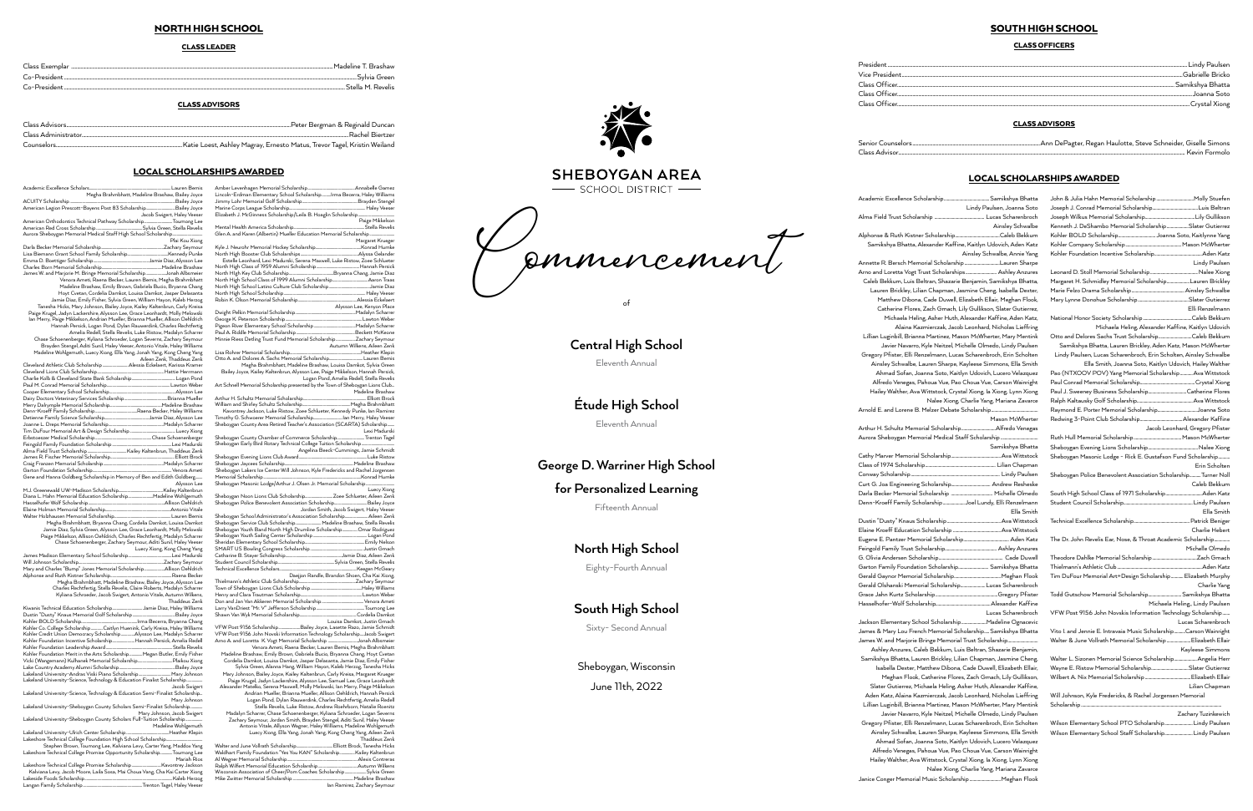## NORTH HIGH SCHOOL

#### CLASS LEADER

| Llass Exemplar                             | Madeline<br><b>Brashaw</b> |
|--------------------------------------------|----------------------------|
| $C_2$ -President                           | .Svlvia Green              |
| $\mathop{\mathsf{Co}}\nolimits$ -President | Stella M. Revelis          |

#### CLASS ADVISORS

| Peter Bergman & Reginald Duncan<br>Class Advisors |
|---------------------------------------------------|
| Class Administrator<br>Rachel Biertzer            |
|                                                   |

#### LOCAL SCHOLARSHIPS AWARDED

Mental Health America Scholarship...

| Megha Brahmbhatt, Madeline Brashaw, Bailey Joyce                                |
|---------------------------------------------------------------------------------|
|                                                                                 |
|                                                                                 |
| Jacob Swigert, Haley Veeser                                                     |
| American Orthodontics Technical Pathway ScholarshipToumong Lee                  |
|                                                                                 |
|                                                                                 |
| Plai Kou Xiong                                                                  |
|                                                                                 |
|                                                                                 |
|                                                                                 |
|                                                                                 |
| James W. and Marjorie M. Bringe Memorial ScholarshipJonah Albsmeier             |
| Venora Ameti, Raena Becker, Lauren Bemis, Megha Brahmbhatt                      |
| Madeline Brashaw, Emily Brown, Gabriela Bucio, Bryanna Chang                    |
| Hoyt Cvetan, Cordelia Damkot, Louisa Damkot, Jasper Delasanta                   |
| Jamie Diaz, Emily Fisher, Sylvia Green, William Hayon, Kaleb Herzog             |
| Tanesha Hicks, Mary Johnson, Bailey Joyce, Kailey Kaltenbrun, Carly Kreisa      |
| Paige Krugel, Jadyn Lackershire, Alysson Lee, Grace Leonhardt, Molly Melowski   |
| lan Merry, Paige Mikkelson, Andrian Mueller, Brianna Mueller, Allison Oehldrich |
| Hannah Persick, Logan Pond, Dylan Rauwerdink, Charles Rechtfertig               |
| Amelia Redell, Stella Revelis, Luke Ristow, Madalyn Scharrer                    |
| Chase Schoenenberger, Kyliana Schroeder, Logan Severns, Zachary Seymour         |
| Brayden Stengel, Aditi Sunil, Haley Veeser, Antonio Vitale, Haley Williams      |
| Madeline Wohlgemuth, Luecy Xiong, Ella Yang, Jonah Yang, Kong Cheng Yang        |
| Aileen Zenk, Thaddeus Zenk                                                      |
|                                                                                 |
|                                                                                 |
|                                                                                 |
|                                                                                 |
|                                                                                 |
|                                                                                 |
|                                                                                 |
|                                                                                 |
|                                                                                 |
|                                                                                 |
|                                                                                 |
|                                                                                 |
| the contract of the contract of the                                             |

| Gene and Hanna Goldberg Scholarship in Memory of Ben and Edith Goldberg   |                                                                       |
|---------------------------------------------------------------------------|-----------------------------------------------------------------------|
|                                                                           | Alysson Lee                                                           |
|                                                                           |                                                                       |
|                                                                           |                                                                       |
|                                                                           |                                                                       |
|                                                                           |                                                                       |
|                                                                           |                                                                       |
|                                                                           | Megha Brahmbhatt, Bryanna Chang, Cordelia Damkot, Louisa Damkot       |
| Jamie Diaz, Sylvia Green, Alysson Lee, Grace Leonhardt, Molly Melowski    |                                                                       |
| Paige Mikkelson, Allison Oehldrich, Charles Rechtfertig, Madalyn Scharrer |                                                                       |
|                                                                           | Chase Schoenenberger, Zachary Seymour, Aditi Sunil, Haley Veeser      |
|                                                                           | Luecy Xiong, Kong Cheng Yang                                          |
|                                                                           |                                                                       |
|                                                                           |                                                                       |
|                                                                           |                                                                       |
|                                                                           |                                                                       |
|                                                                           | Megha Brahmbhatt, Madeline Brashaw, Bailey Joyce, Alysson Lee         |
|                                                                           | Charles Rechtfertig, Stella Revelis, Claire Roberts, Madalyn Scharrer |
|                                                                           | Kyliana Schroeder, Jacob Swigert, Antonio Vitale, Autumn Wilkens,     |
|                                                                           | Thaddous Zonk                                                         |

Logan Pond, Amelia Redell, Stella Revelis<br>Art Schnell Memorial Scholarship presented by the Town of Sheboygan Lions Club...<br>Madeline Brashaw Arthur H. Schultz Memorial Scholarship.......................................................................Elliott Brock

William and Shirley Schultz Scholarship......................................................Megha Brahmbhatt Kavontrey Jackson, Luke Ristow, Zoee Schlueter, Kennedy Punke, Ian Ramirez Timothy G. Schwoerer Memorial Scholarship.................................Ian Merry, Haley Veeser Sheboygan County Area Retired Teacher's Association (SCARTA) Scholarship........ .<br>Lexi Madursk<br>Erenton Tage ……

Thielmann's Athletic Club Scholarship................................................................Zachary Seymour Town of Sheboygan Lions Club Scholarship..........................................................Haley Williams Henry and Clara Trautman Scholarship.....................................................................Lawton Weber Don and Jan Van Akkeren Memorial Scholarship ...............................................Venora Ameti Larry VanDriest "Mr. V" Jefferson Scholarship......................................................Toumong Lee Shawn Van Wyk Memorial Scholarship....

| Kohler Co. College Scholarship Caitlyn Huenink, Carly Kreisa, Haley Williams  |
|-------------------------------------------------------------------------------|
| Kohler Credit Union Democracy Scholarship Alysson Lee, Madalyn Scharrer       |
| Kohler Foundation Incentive ScholarshipHannah Persick, Amelia Redell          |
|                                                                               |
| Kohler Foundation Merit in the Arts ScholarshipMegan Butler, Emily Fisher     |
|                                                                               |
|                                                                               |
|                                                                               |
| Lakeland University-Science, Technology & Education Finalist Scholarship      |
| Jacob Swigert                                                                 |
| Lakeland University-Science, Technology & Education Semi-Finalist Scholarship |
| Mary Johnson                                                                  |
| Lakeland University-Sheboygan County Scholars Semi-Finalist Scholarship       |
| Mary Johnson, Jacob Swigert                                                   |
| Lakeland University-Sheboygan County Scholars Full-Tuition Scholarship        |
| Madeline Wohlgemuth                                                           |
|                                                                               |
|                                                                               |
| Stephen Brown, Toumong Lee, Kalviana Levy, Carter Yang, Maddox Yang           |
|                                                                               |

Thaddeus Zenk<br>Elliott Brock, Tanesha Hicks..... Walter and June Vollrath Scholarship.........................................Elliott Brock, Tanesha Hicks Waldhart Family Foundation "Yes You KAN" Scholarship.................Kailey Kaltenbrun Al Wegner Memorial Scholarship...............................................................................Alexis Contreras Ralph Wilfert Memorial Education Scholarship............................................Autumn Wilkens Wisconsin Association of Cheer/Pom Coaches Scholarship........................Sylvia Green Mike Zwitter Memorial Scholarship .....................................................................Madeline Brashaw Ian Ramirez, Zachary Seymour

| Stephen Drown, Tournong Lee, Kaiviana Levy, Carter Tang, Plaudox Tang        |  |
|------------------------------------------------------------------------------|--|
| Lakeshore Technical College Promise Opportunity ScholarshipToumong Lee       |  |
| Mariah Rios                                                                  |  |
|                                                                              |  |
| Kalviana Levy, Jacob Moore, Laila Sosa, Mai Choua Vang, Cha Kai Carter Xiong |  |
|                                                                              |  |
|                                                                              |  |



# **SHEBOYGAN AREA**

- SCHOOL DISTRICT -

Academic Excellence Scholarship............................................Samikshya Bhatta Lindy Paulsen, Joanna Soto Alma Field Trust Scholarship ................................................ Lucas Scharenbroch Ainsley Schwalbe Alphonse & Ruth Kistner Scholarsh Samikshya Bhatta, Alexander Kaffine, Kaitlyn Udovich, Aden Katz Ainsley Schwalbe, Annie Yang Annette R. Bersch Memorial Scholarship..................................Lauren Sharpe Arno and Loretta Vogt Trust Scholarships.............................. Ashley Anzures Caleb Bekkum, Luis Beltran, Shazarie Benjamin, Samikshya Bhatta, Lauren Brickley, Lilian Chapman, Jasmine Cheng, Isabella Dexter, Matthew Dibona, Cade Duwell, Elizabeth Ellair, Meghan Flook, Catherine Flores, Zach Gmach, Lily Gullikson, Slater Gutierrez, Michaela Heling, Asher Huth, Alexander Kaffine, Aden Katz, Alaina Kazmierczak, Jacob Leonhard, Nicholas Lieffring Lillian Luginbill, Brianna Martinez, Mason McWherter, Mary Mentink Javier Navarro, Kyle Neitzel, Michelle Olmedo, Lindy Paulsen Gregory Pfister, Elli Renzelmann, Lucas Scharenbroch, Erin Scholten Ainsley Schwalbe, Lauren Sharpe, Kayleese Simmons, Ella Smith Ahmad Sofan, Joanna Soto, Kaitlyn Udovich, Lucero Velazquez Alfredo Venegas, Pahoua Vue, Pao Choua Vue, Carson Wainright Hailey Walther, Ava Wittstock, Crystal Xiong, Ia Xiong, Lynn Xiong Nalee Xiong, Charlie Yang, Mariana Zavarce Arnold E. and Lorene B. Melzer Debate Scholarship.

Arthur H. Schultz Memo Aurora Sheboygan Mem

Cathy Marver Memorial Class of 1974 Scholarshi Conway Scholarship.......... Curt G. Joa Engineering Darla Becker Memorial . Denn-Kroeff Family Sch

Dustin "Dusty" Knaus Sc Elaine Kroeff Education Eugene E. Pantzer Memo Feingold Family Trust Scholarship. G. Olivia Andersen Scho Garton Family Foundati Gerald Gaynor Memoria Gerald Olshanski Memo Grace Jahn Kurtz Schola Hasselhofer-Wolf Schola

Amber Levenhagen Memorial Scholarship.....................................................Annabelle Gamez Lincoln-Erdman Elementary School Scholarship..........Irma Becerra, Haley Williams Jimmy Lohr Memorial Golf Scholarship..............................................................Brayden Stengel Marine Corps League Scholarship......................................................................................Haley Veeser Elizabeth J. McGinness Scholarship/Leila B. Hoaglin Scholarship.........................................

Paige Mikkelson

Margaret Krueger<br>Konrad Humke

Kyle J. Neurohr Memorial Hockey Scholarship...................................................Konrad Humke

North High Booster Club Scholarships.................................................................Alyssa Gelander

Estelle Leonhard, Lexi Madurski, Serena Maxwell, Luke Ristow, Zoee Schlueter North High Class of 1959 Alumni Scholarship................................................Hannah Persick North HIgh Key Club Scholarship..................................................Bryanna Chang, Jamie Diaz North High School Class of 1999 Alumni Scholarship........................................Aaron Traas North High School Latino Culture Club Scholarship..............................................Jamie Diaz North High School Scholarship............................................................................................Haley Veeser

Glen A. and Karen (Albertin) Mueller Education Memorial Scholarship.

Robin K. Olson Memorial Scholarship..................................................................Alessia Eckelaert Alysson Lee, Kenyon Place Dwight Pelkin Memorial Scholarship George K. Peterson Scholarship......................................................................................Lawton Weber Pigeon River Elementary School Scholarship...............................................Madalyn Scharrer Paul A. Riddle Memorial Scholarship..................................................................Beckett McKeone Minnie Riess Detling Trust Fund Memorial Scholarship......................Zachary Seymour .<br>Autumn Wilkens, Aileen Zenk<br>Meather Klepir ( Lisa Rohrer Memorial Scholarship................................................................................Heather Klepin Otto A. and Dolores A. Sachs Memorial Scholarship......................................Lauren Bemis Megha Brahmbhatt, Madeline Brashaw, Louisa Damkot, Sylvia Green Bailey Joyce, Kailey Kaltenbrun, Alysson Lee, Paige Mikkelson, Hannah Persick,

> Jackson Elementary Scho James & Mary Lou French Memorial Scholarship.....Samikshya Bhatta James W. and Marjorie Bringe Memorial Trust Scholarship Ashley Anzures, Caleb Bekkum, Luis Beltran, Shazarie Benjamin, Samikshya Bhatta, Lauren Brickley, Lilian Chapman, Jasmine Cheng, Isabella Dexter, Matthew Dibona, Cade Duwell, Elizabeth Ellair, Meghan Flook, Catherine Flores, Zach Gmach, Lily Gullikson, Slater Gutierrez, Michaela Heling, Asher Huth, Alexander Kaffine, Aden Katz, Alaina Kazmierczak, Jacob Leonhard, Nicholas Lieffring Lillian Luginbill, Brianna Martinez, Mason McWherter, Mary Mentink Javier Navarro, Kyle Neitzel, Michelle Olmedo, Lindy Paulsen Gregory Pfister, Elli Renzelmann, Lucas Scharenbroch, Erin Scholten Ainsley Schwalbe, Lauren Sharpe, Kayleese Simmons, Ella Smith Ahmad Sofan, Joanna Soto, Kaitlyn Udovich, Lucero Velazquez Alfredo Venegas, Pahoua Vue, Pao Choua Vue, Carson Wainright Hailey Walther, Ava Wittstock, Crystal Xiong, Ia Xiong, Lynn Xiong Nalee Xiong, Charlie Yang, Mariana Zavarce

Sheboygan County Chamber of Commerce Scholarship...............................Trenton Tagel Sheboygan Early Bird Rotary Technical College Tuition Scholarship ..................................... Angelina Beeck-Cummings, Jamie Schmidt Sheboygan Evening Lions Club Award.............................................................................Luke Ristow

Sheboygan Jaycees Scholarship..............................................................................Madeline Brashaw Sheboygan Lakers Ice Center Will Johnson, Kyle Fredericks and Rachel Jorgensen Memorial Scholarship..............................................................................................................Konrad Humke Sheboygan Masonic Lodge/Arthur J. Olsen Jr. Memorial Scholarship ................................

Luecy Xiong Sheboygan Noon Lions Club Scholarship...............................Zoee Schlueter, Aileen Zenk Sheboygan Police Benevolent Association Scholarship.....................................Bailey Joyce Jordan Smith, Jacob Swigert, Haley Veeser

| Sheboygan Youth Band North High Drumline ScholarshipOmar Rodriguez |                                               |
|--------------------------------------------------------------------|-----------------------------------------------|
|                                                                    |                                               |
|                                                                    |                                               |
|                                                                    |                                               |
|                                                                    |                                               |
|                                                                    |                                               |
|                                                                    |                                               |
|                                                                    | Daejjon Randle, Brandon Shoen, Cha Kai Xiong, |

Louisa Damkot, Justin Gmach VFW Post 9156 Scholarship........................Bailey Joyce, Lasette Razo, Jamie Schmidt VFW Post 9156 John Novski Information Technology Scholarship....Jacob Swigert Arno A. and Loretta K. Vogt Memorial Scholarship .................................Jonah Albsmeier Venora Ameti, Raena Becker, Lauren Bemis, Megha Brahmbhatt

Madeline Brashaw, Emily Brown, Gabriela Bucio, Bryanna Chang, Hoyt Cvetan Cordelia Damkot, Louisa Damkot, Jasper Delasanta, Jamie Diaz, Emily Fisher Sylvia Green, Alanna Hang, William Hayon, Kaleb Herzog, Tanesha Hicks Mary Johnson, Bailey Joyce, Kailey Kaltenbrun, Carly Kreisa, Margaret Krueger

Paige Krugel, Jadyn Lackershire, Alysson Lee, Samuel Lee, Grace Leonhardt Alexander Matelko, Serena Maxwell, Molly Melowski, Ian Merry, Paige Mikkelson Andrian Mueller, Brianna Mueller, Allison Oehldrich, Hannah Persick Logan Pond, Dylan Rauwerdink, Charles Rechtfertig, Amelia Redell Stella Revelis, Luke Ristow, Andrew Roehrborn, Natalie Roenitz

Madalyn Scharrer, Chase Schoenenberger, Kyliana Schroeder, Logan Severns Zachary Seymour, Jordan Smith, Brayden Stengel, Aditi Sunil, Haley Veeser Antonio Vitale, Allyson Wagner, Haley Williams, Madeline Wohlgemuth Luecy Xiong, Ella Yang, Jonah Yang, Kong Cheng Yang, Aileen Zenk

## SOUTH HIGH SCHOOL

#### CLASS OFFICERS

| Gabrielle Bricko |
|------------------|
|                  |
|                  |
|                  |
|                  |

#### CLASS ADVISORS

Senior Counselors............................................................................................................Ann DePagter, Regan Haulotte, Steve Schneider, Giselle Simons Class Advisor................................................................................................................................................................................................................................................... Kevin Formolo

## LOCAL SCHOLARSHIPS AWARDED

|                                      | Mason McWherter                     |
|--------------------------------------|-------------------------------------|
|                                      |                                     |
|                                      |                                     |
|                                      | Samikshya Bhatta                    |
|                                      |                                     |
|                                      |                                     |
|                                      |                                     |
|                                      |                                     |
|                                      |                                     |
| olarship Joel Lundy, Elli Renzelmann |                                     |
|                                      | Ella Smith                          |
|                                      |                                     |
|                                      |                                     |
|                                      |                                     |
|                                      |                                     |
|                                      |                                     |
|                                      | on Scholarship Samikshya Bhatta     |
|                                      |                                     |
|                                      | rial Scholarship Lucas Scharenbroch |
|                                      |                                     |
|                                      |                                     |
|                                      | Lucas Scharenbroch                  |
| ool Scholarshin                      | Madeline Ognacevic                  |

Janice Conger Memorial Music Scholarship ..............................Meghan Flook

| Kenneth J. DeShambo Memorial Scholarship Slater Gutierrez          |                                 |
|--------------------------------------------------------------------|---------------------------------|
|                                                                    |                                 |
|                                                                    |                                 |
|                                                                    |                                 |
|                                                                    | Lindy Paulsen                   |
|                                                                    |                                 |
| Margaret H. Schmidley Memorial ScholarshipLauren Brickley          |                                 |
|                                                                    |                                 |
|                                                                    |                                 |
|                                                                    | Elli Renzelmann                 |
|                                                                    |                                 |
| Michaela Heling, Alexander Kaffine, Kaitlyn Udovich                |                                 |
| Otto and Delores Sachs Trust ScholarshipCaleb Bekkum               |                                 |
| Samikshya Bhatta, Lauren Brickley, Aden Katz, Mason McWherter      |                                 |
| Lindy Paulsen, Lucas Scharenbroch, Erin Scholten, Ainsley Schwalbe |                                 |
| Ella Smith, Joanna Soto, Kaitlyn Udovich, Hailey Walther           |                                 |
| Pao (NTXOOV POV) Yang Memorial Scholarship  Ava Wittstock          |                                 |
|                                                                    |                                 |
|                                                                    |                                 |
|                                                                    |                                 |
|                                                                    |                                 |
|                                                                    |                                 |
|                                                                    |                                 |
|                                                                    |                                 |
|                                                                    |                                 |
|                                                                    |                                 |
| Sheboygan Masonic Lodge - Rick E. Gustafson Fund Scholarship       |                                 |
|                                                                    | Erin Scholten                   |
| Sheboygan Police Benevolent Association ScholarshipTurner Noll     |                                 |
|                                                                    | Caleb Bekkum                    |
|                                                                    |                                 |
|                                                                    |                                 |
|                                                                    | Ella Smith                      |
|                                                                    |                                 |
|                                                                    | Charlie Hebert                  |
| The Dr. John Revelis Ear, Nose, & Throat Academic Scholarship      |                                 |
|                                                                    | Michelle Olmedo                 |
|                                                                    |                                 |
|                                                                    |                                 |
| Tim DuFour Memorial Art+Design Scholarship  Elizabeth Murphy       |                                 |
|                                                                    | Charlie Yang                    |
|                                                                    |                                 |
|                                                                    | Michaela Heling,, Lindy Paulsen |
| VFW Post 9156 John Novskis Information Technology Scholarship      |                                 |
|                                                                    | Lucas Scharenbroch              |
| Vito I. and Jennie E. Intravaia Music ScholarshipCarson Wainright  |                                 |
| Walter & June Vollrath Memorial Scholarship  Elizabeth Ellair      |                                 |
|                                                                    | Kayleese Simmons                |
| Walter L. Sizonen Memorial Science Scholarship Angelia Herr        |                                 |
|                                                                    |                                 |
|                                                                    |                                 |
|                                                                    | Lilian Chapman                  |
| Will Johnson, Kyle Fredericks, & Rachel Jorgensen Memorial         |                                 |
|                                                                    |                                 |
|                                                                    |                                 |

Zachary Tuzinkewich Wilson Elementary School PTO Scholarship............................. Lindy Paulser Wilson Elementary School Staff Scholarship...........................Lindy Paulsen

# Central High School

Eleventh Annual

# Étude High School

Eleventh Annual

# George D. Warriner High School

## for Personalized Learning



Fifteenth Annual

## North High School

Eighty-Fourth Annual

# South High School

Sixty- Second Annual

# Sheboygan, Wisconsin June 11th, 2022

Vice President....... Class Officer....... Class Officer.......